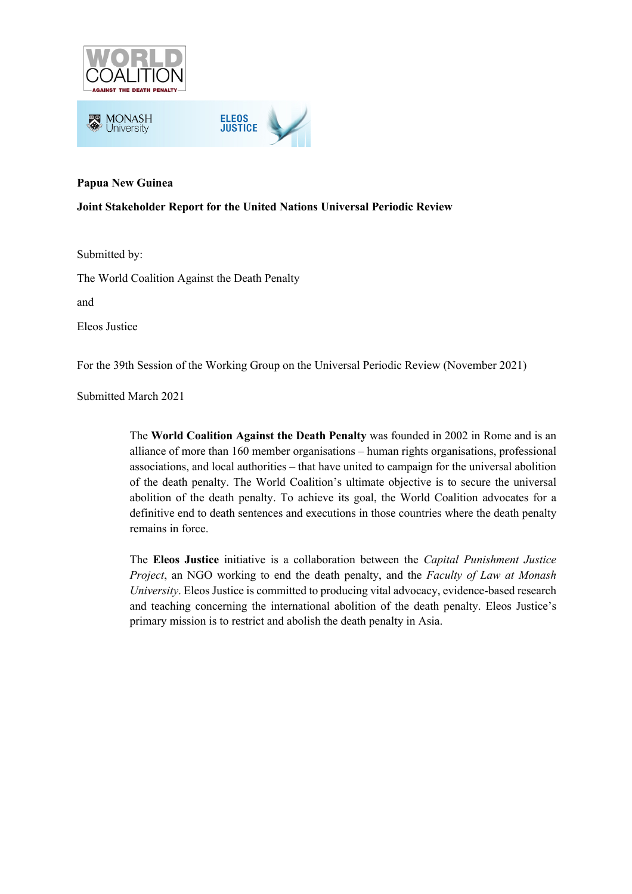



## **Papua New Guinea**

### **Joint Stakeholder Report for the United Nations Universal Periodic Review**

Submitted by:

The World Coalition Against the Death Penalty

and

Eleos Justice

For the 39th Session of the Working Group on the Universal Periodic Review (November 2021)

Submitted March 2021

The **World Coalition Against the Death Penalty** was founded in 2002 in Rome and is an alliance of more than 160 member organisations – human rights organisations, professional associations, and local authorities – that have united to campaign for the universal abolition of the death penalty. The World Coalition's ultimate objective is to secure the universal abolition of the death penalty. To achieve its goal, the World Coalition advocates for a definitive end to death sentences and executions in those countries where the death penalty remains in force.

The **Eleos Justice** initiative is a collaboration between the *Capital Punishment Justice Project*, an NGO working to end the death penalty, and the *Faculty of Law at Monash University*. Eleos Justice is committed to producing vital advocacy, evidence-based research and teaching concerning the international abolition of the death penalty. Eleos Justice's primary mission is to restrict and abolish the death penalty in Asia.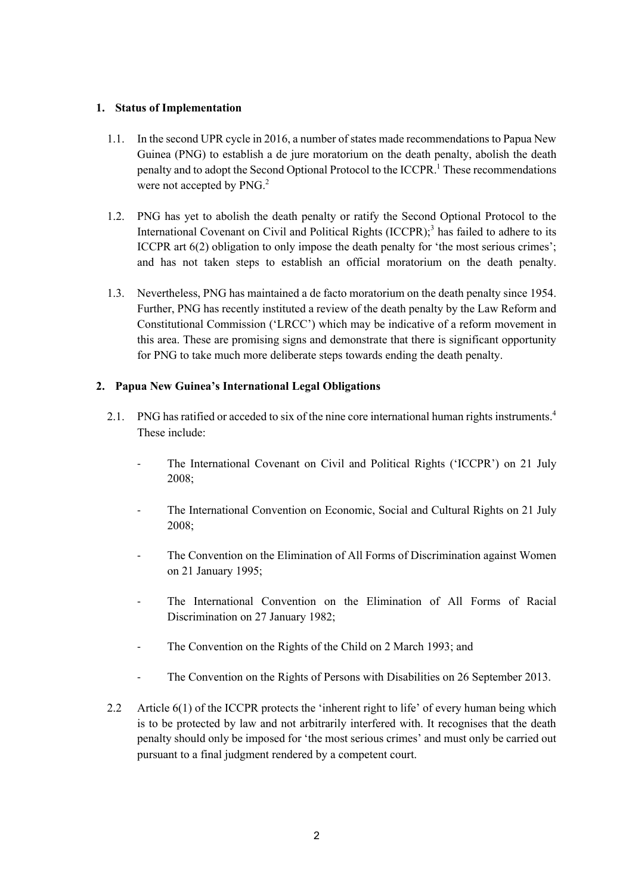## **1. Status of Implementation**

- 1.1. In the second UPR cycle in 2016, a number of states made recommendations to Papua New Guinea (PNG) to establish a de jure moratorium on the death penalty, abolish the death penalty and to adopt the Second Optional Protocol to the ICCPR.<sup>1</sup> These recommendations were not accepted by PNG.<sup>2</sup>
- 1.2. PNG has yet to abolish the death penalty or ratify the Second Optional Protocol to the International Covenant on Civil and Political Rights  $(ICCPR)$ ;<sup>3</sup> has failed to adhere to its ICCPR art 6(2) obligation to only impose the death penalty for 'the most serious crimes'; and has not taken steps to establish an official moratorium on the death penalty.
- 1.3. Nevertheless, PNG has maintained a de facto moratorium on the death penalty since 1954. Further, PNG has recently instituted a review of the death penalty by the Law Reform and Constitutional Commission ('LRCC') which may be indicative of a reform movement in this area. These are promising signs and demonstrate that there is significant opportunity for PNG to take much more deliberate steps towards ending the death penalty.

# **2. Papua New Guinea's International Legal Obligations**

- 2.1. PNG has ratified or acceded to six of the nine core international human rights instruments.<sup>4</sup> These include:
	- The International Covenant on Civil and Political Rights ('ICCPR') on 21 July 2008;
	- The International Convention on Economic, Social and Cultural Rights on 21 July 2008;
	- The Convention on the Elimination of All Forms of Discrimination against Women on 21 January 1995;
	- The International Convention on the Elimination of All Forms of Racial Discrimination on 27 January 1982;
	- The Convention on the Rights of the Child on 2 March 1993; and
	- The Convention on the Rights of Persons with Disabilities on 26 September 2013.
- 2.2 Article 6(1) of the ICCPR protects the 'inherent right to life' of every human being which is to be protected by law and not arbitrarily interfered with. It recognises that the death penalty should only be imposed for 'the most serious crimes' and must only be carried out pursuant to a final judgment rendered by a competent court.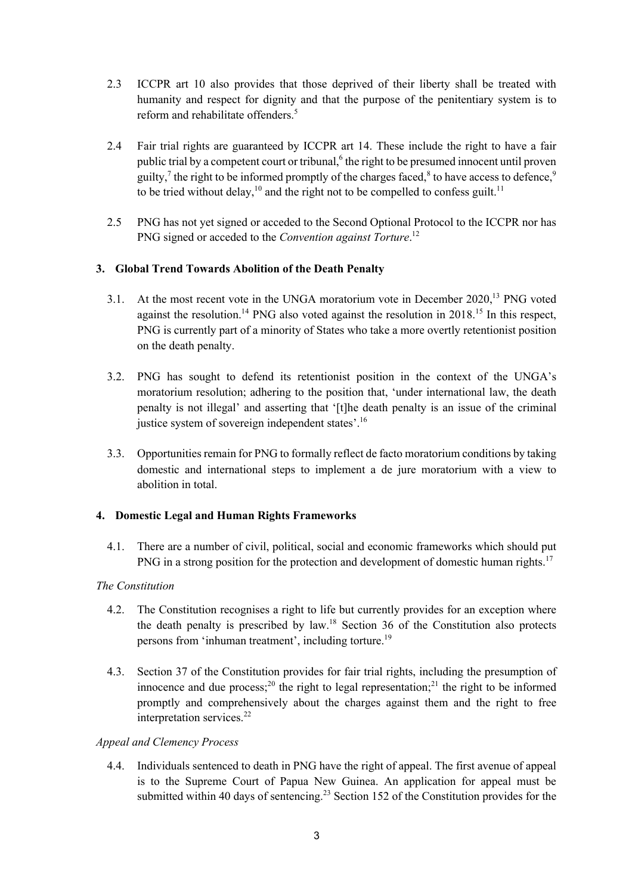- 2.3 ICCPR art 10 also provides that those deprived of their liberty shall be treated with humanity and respect for dignity and that the purpose of the penitentiary system is to reform and rehabilitate offenders.<sup>5</sup>
- 2.4 Fair trial rights are guaranteed by ICCPR art 14. These include the right to have a fair public trial by a competent court or tribunal,<sup>6</sup> the right to be presumed innocent until proven guilty,<sup>7</sup> the right to be informed promptly of the charges faced, $\delta$  to have access to defence, $\delta$ to be tried without delay,  $10$  and the right not to be compelled to confess guilt.<sup>11</sup>
- 2.5 PNG has not yet signed or acceded to the Second Optional Protocol to the ICCPR nor has PNG signed or acceded to the *Convention against Torture*. 12

# **3. Global Trend Towards Abolition of the Death Penalty**

- 3.1. At the most recent vote in the UNGA moratorium vote in December 2020,<sup>13</sup> PNG voted against the resolution.<sup>14</sup> PNG also voted against the resolution in  $2018<sup>15</sup>$  In this respect, PNG is currently part of a minority of States who take a more overtly retentionist position on the death penalty.
- 3.2. PNG has sought to defend its retentionist position in the context of the UNGA's moratorium resolution; adhering to the position that, 'under international law, the death penalty is not illegal' and asserting that '[t]he death penalty is an issue of the criminal justice system of sovereign independent states'.<sup>16</sup>
- 3.3. Opportunities remain for PNG to formally reflect de facto moratorium conditions by taking domestic and international steps to implement a de jure moratorium with a view to abolition in total.

# **4. Domestic Legal and Human Rights Frameworks**

4.1. There are a number of civil, political, social and economic frameworks which should put PNG in a strong position for the protection and development of domestic human rights.<sup>17</sup>

### *The Constitution*

- 4.2. The Constitution recognises a right to life but currently provides for an exception where the death penalty is prescribed by  $law$ <sup>18</sup> Section 36 of the Constitution also protects persons from 'inhuman treatment', including torture.<sup>19</sup>
- 4.3. Section 37 of the Constitution provides for fair trial rights, including the presumption of innocence and due process;<sup>20</sup> the right to legal representation;<sup>21</sup> the right to be informed promptly and comprehensively about the charges against them and the right to free interpretation services. $22$

#### *Appeal and Clemency Process*

4.4. Individuals sentenced to death in PNG have the right of appeal. The first avenue of appeal is to the Supreme Court of Papua New Guinea. An application for appeal must be submitted within 40 days of sentencing.<sup>23</sup> Section 152 of the Constitution provides for the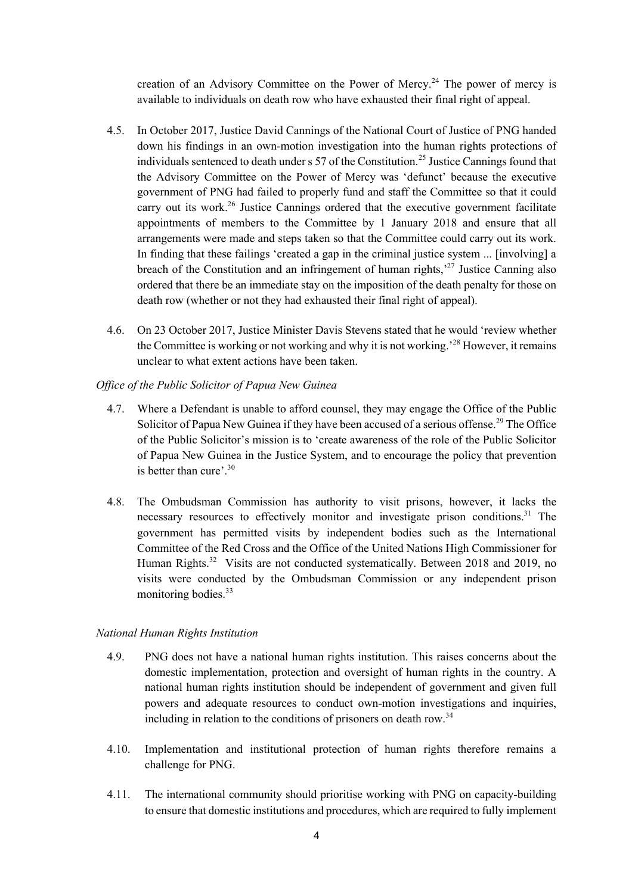creation of an Advisory Committee on the Power of Mercy.<sup>24</sup> The power of mercy is available to individuals on death row who have exhausted their final right of appeal.

- 4.5. In October 2017, Justice David Cannings of the National Court of Justice of PNG handed down his findings in an own-motion investigation into the human rights protections of individuals sentenced to death under  $s$  57 of the Constitution.<sup>25</sup> Justice Cannings found that the Advisory Committee on the Power of Mercy was 'defunct' because the executive government of PNG had failed to properly fund and staff the Committee so that it could carry out its work.<sup>26</sup> Justice Cannings ordered that the executive government facilitate appointments of members to the Committee by 1 January 2018 and ensure that all arrangements were made and steps taken so that the Committee could carry out its work. In finding that these failings 'created a gap in the criminal justice system ... [involving] a breach of the Constitution and an infringement of human rights,<sup> $27$ </sup> Justice Canning also ordered that there be an immediate stay on the imposition of the death penalty for those on death row (whether or not they had exhausted their final right of appeal).
- 4.6. On 23 October 2017, Justice Minister Davis Stevens stated that he would 'review whether the Committee is working or not working and why it is not working.'28 However, it remains unclear to what extent actions have been taken.
- *Office of the Public Solicitor of Papua New Guinea* 
	- 4.7. Where a Defendant is unable to afford counsel, they may engage the Office of the Public Solicitor of Papua New Guinea if they have been accused of a serious offense.<sup>29</sup> The Office of the Public Solicitor's mission is to 'create awareness of the role of the Public Solicitor of Papua New Guinea in the Justice System, and to encourage the policy that prevention is better than cure'.30
	- 4.8. The Ombudsman Commission has authority to visit prisons, however, it lacks the necessary resources to effectively monitor and investigate prison conditions.<sup>31</sup> The government has permitted visits by independent bodies such as the International Committee of the Red Cross and the Office of the United Nations High Commissioner for Human Rights.<sup>32</sup> Visits are not conducted systematically. Between 2018 and 2019, no visits were conducted by the Ombudsman Commission or any independent prison monitoring bodies. $33$

#### *National Human Rights Institution*

- 4.9. PNG does not have a national human rights institution. This raises concerns about the domestic implementation, protection and oversight of human rights in the country. A national human rights institution should be independent of government and given full powers and adequate resources to conduct own-motion investigations and inquiries, including in relation to the conditions of prisoners on death row.<sup>34</sup>
- 4.10. Implementation and institutional protection of human rights therefore remains a challenge for PNG.
- 4.11. The international community should prioritise working with PNG on capacity-building to ensure that domestic institutions and procedures, which are required to fully implement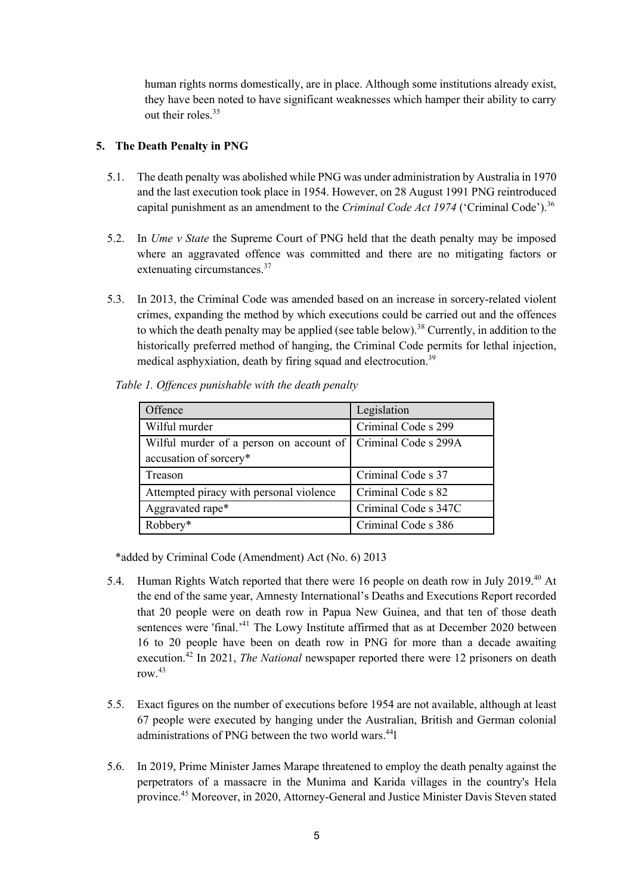human rights norms domestically, are in place. Although some institutions already exist, they have been noted to have significant weaknesses which hamper their ability to carry out their roles.35

### **5. The Death Penalty in PNG**

- 5.1. The death penalty was abolished while PNG was under administration by Australia in 1970 and the last execution took place in 1954. However, on 28 August 1991 PNG reintroduced capital punishment as an amendment to the *Criminal Code Act 1974* ('Criminal Code').<sup>36</sup>
- 5.2. In *Ume v State* the Supreme Court of PNG held that the death penalty may be imposed where an aggravated offence was committed and there are no mitigating factors or extenuating circumstances.<sup>37</sup>
- 5.3. In 2013, the Criminal Code was amended based on an increase in sorcery-related violent crimes, expanding the method by which executions could be carried out and the offences to which the death penalty may be applied (see table below).<sup>38</sup> Currently, in addition to the historically preferred method of hanging, the Criminal Code permits for lethal injection, medical asphyxiation, death by firing squad and electrocution.<sup>39</sup>

| Offence                                                        | Legislation          |
|----------------------------------------------------------------|----------------------|
| Wilful murder                                                  | Criminal Code s 299  |
| Wilful murder of a person on account of   Criminal Code s 299A |                      |
| accusation of sorcery*                                         |                      |
| Treason                                                        | Criminal Code s 37   |
| Attempted piracy with personal violence                        | Criminal Code s 82   |
| Aggravated rape*                                               | Criminal Code s 347C |
| Robbery*                                                       | Criminal Code s 386  |

*Table 1. Offences punishable with the death penalty*

\*added by Criminal Code (Amendment) Act (No. 6) 2013

- 5.4. Human Rights Watch reported that there were 16 people on death row in July 2019.<sup>40</sup> At the end of the same year, Amnesty International's Deaths and Executions Report recorded that 20 people were on death row in Papua New Guinea, and that ten of those death sentences were 'final.<sup>41</sup> The Lowy Institute affirmed that as at December 2020 between 16 to 20 people have been on death row in PNG for more than a decade awaiting execution.<sup>42</sup> In 2021, *The National* newspaper reported there were 12 prisoners on death row.43
- 5.5. Exact figures on the number of executions before 1954 are not available, although at least 67 people were executed by hanging under the Australian, British and German colonial administrations of PNG between the two world wars.<sup>44</sup>l
- 5.6. In 2019, Prime Minister James Marape threatened to employ the death penalty against the perpetrators of a massacre in the Munima and Karida villages in the country's Hela province.45 Moreover, in 2020, Attorney-General and Justice Minister Davis Steven stated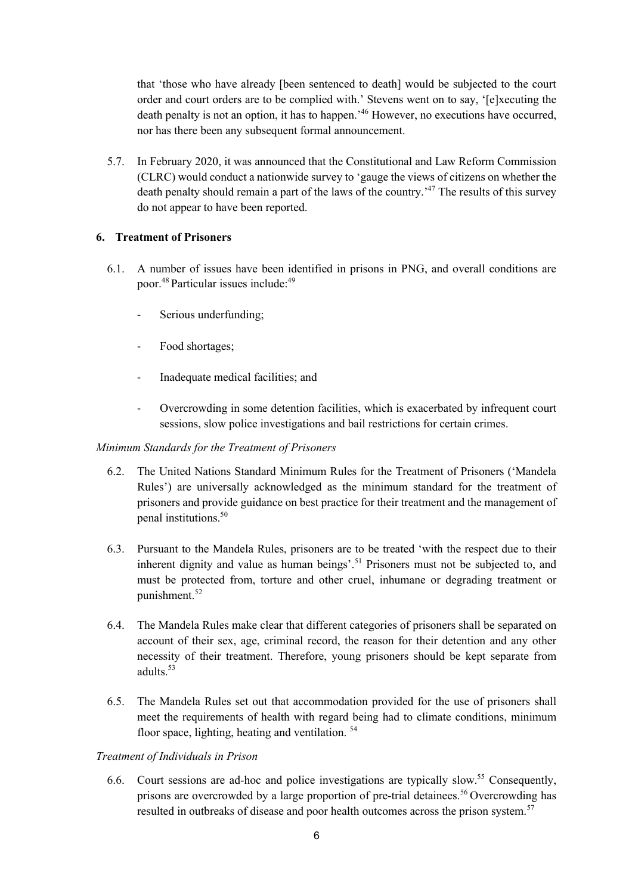that 'those who have already [been sentenced to death] would be subjected to the court order and court orders are to be complied with.' Stevens went on to say, '[e]xecuting the death penalty is not an option, it has to happen.<sup>46</sup> However, no executions have occurred, nor has there been any subsequent formal announcement.

5.7. In February 2020, it was announced that the Constitutional and Law Reform Commission (CLRC) would conduct a nationwide survey to 'gauge the views of citizens on whether the death penalty should remain a part of the laws of the country.<sup>47</sup> The results of this survey do not appear to have been reported.

### **6. Treatment of Prisoners**

- 6.1. A number of issues have been identified in prisons in PNG, and overall conditions are poor.<sup>48</sup> Particular issues include:<sup>49</sup>
	- Serious underfunding;
	- Food shortages;
	- Inadequate medical facilities; and
	- Overcrowding in some detention facilities, which is exacerbated by infrequent court sessions, slow police investigations and bail restrictions for certain crimes.

#### *Minimum Standards for the Treatment of Prisoners*

- 6.2. The United Nations Standard Minimum Rules for the Treatment of Prisoners ('Mandela Rules') are universally acknowledged as the minimum standard for the treatment of prisoners and provide guidance on best practice for their treatment and the management of penal institutions.50
- 6.3. Pursuant to the Mandela Rules, prisoners are to be treated 'with the respect due to their inherent dignity and value as human beings'.<sup>51</sup> Prisoners must not be subjected to, and must be protected from, torture and other cruel, inhumane or degrading treatment or punishment.<sup>52</sup>
- 6.4. The Mandela Rules make clear that different categories of prisoners shall be separated on account of their sex, age, criminal record, the reason for their detention and any other necessity of their treatment. Therefore, young prisoners should be kept separate from adults. $53$
- 6.5. The Mandela Rules set out that accommodation provided for the use of prisoners shall meet the requirements of health with regard being had to climate conditions, minimum floor space, lighting, heating and ventilation.<sup>54</sup>

#### *Treatment of Individuals in Prison*

6.6. Court sessions are ad-hoc and police investigations are typically slow.<sup>55</sup> Consequently, prisons are overcrowded by a large proportion of pre-trial detainees.<sup>56</sup> Overcrowding has resulted in outbreaks of disease and poor health outcomes across the prison system.<sup>57</sup>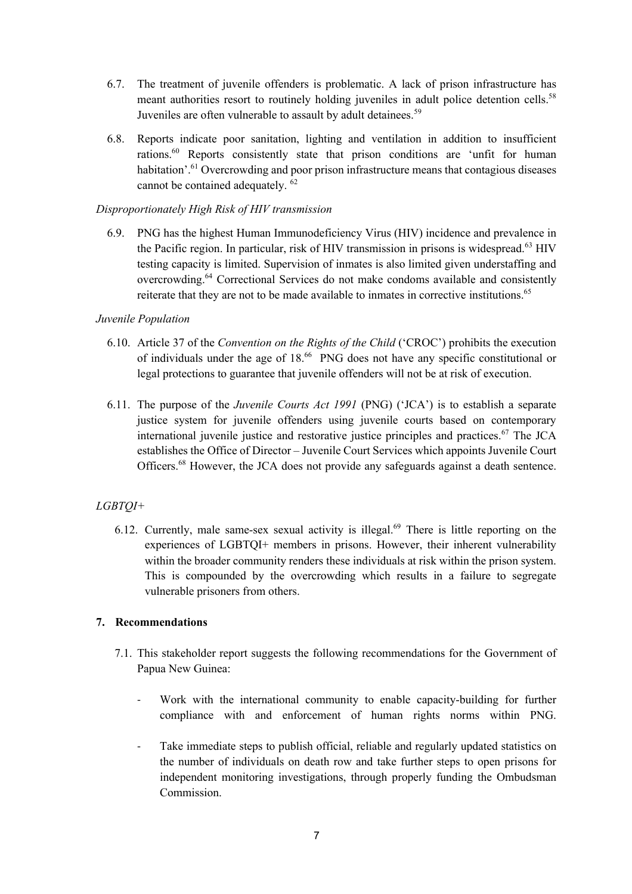- 6.7. The treatment of juvenile offenders is problematic. A lack of prison infrastructure has meant authorities resort to routinely holding juveniles in adult police detention cells.<sup>58</sup> Juveniles are often vulnerable to assault by adult detainees.<sup>59</sup>
- 6.8. Reports indicate poor sanitation, lighting and ventilation in addition to insufficient rations.<sup>60</sup> Reports consistently state that prison conditions are 'unfit for human habitation'.<sup>61</sup> Overcrowding and poor prison infrastructure means that contagious diseases cannot be contained adequately. <sup>62</sup>

### *Disproportionately High Risk of HIV transmission*

6.9. PNG has the highest Human Immunodeficiency Virus (HIV) incidence and prevalence in the Pacific region. In particular, risk of HIV transmission in prisons is widespread.<sup>63</sup> HIV testing capacity is limited. Supervision of inmates is also limited given understaffing and overcrowding.64 Correctional Services do not make condoms available and consistently reiterate that they are not to be made available to inmates in corrective institutions.<sup>65</sup>

### *Juvenile Population*

- 6.10. Article 37 of the *Convention on the Rights of the Child* ('CROC') prohibits the execution of individuals under the age of 18.<sup>66</sup> PNG does not have any specific constitutional or legal protections to guarantee that juvenile offenders will not be at risk of execution.
- 6.11. The purpose of the *Juvenile Courts Act 1991* (PNG) ('JCA') is to establish a separate justice system for juvenile offenders using juvenile courts based on contemporary international juvenile justice and restorative justice principles and practices.<sup>67</sup> The JCA establishes the Office of Director – Juvenile Court Services which appoints Juvenile Court Officers.<sup>68</sup> However, the JCA does not provide any safeguards against a death sentence.

# *LGBTQI+*

6.12. Currently, male same-sex sexual activity is illegal.<sup>69</sup> There is little reporting on the experiences of LGBTQI+ members in prisons. However, their inherent vulnerability within the broader community renders these individuals at risk within the prison system. This is compounded by the overcrowding which results in a failure to segregate vulnerable prisoners from others.

#### **7. Recommendations**

- 7.1. This stakeholder report suggests the following recommendations for the Government of Papua New Guinea:
	- Work with the international community to enable capacity-building for further compliance with and enforcement of human rights norms within PNG.
	- Take immediate steps to publish official, reliable and regularly updated statistics on the number of individuals on death row and take further steps to open prisons for independent monitoring investigations, through properly funding the Ombudsman Commission.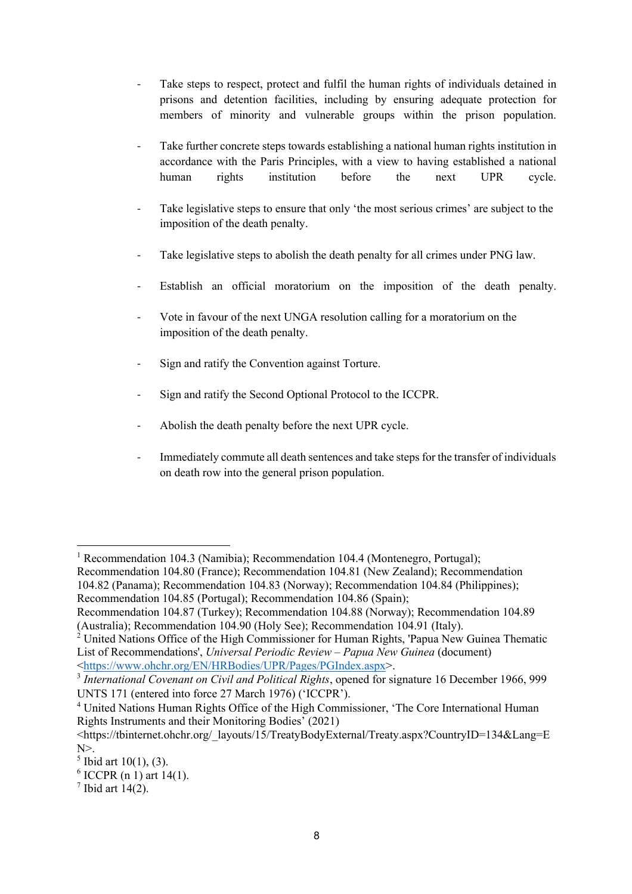- Take steps to respect, protect and fulfil the human rights of individuals detained in prisons and detention facilities, including by ensuring adequate protection for members of minority and vulnerable groups within the prison population.
- Take further concrete steps towards establishing a national human rights institution in accordance with the Paris Principles, with a view to having established a national human rights institution before the next UPR cycle.
- Take legislative steps to ensure that only 'the most serious crimes' are subject to the imposition of the death penalty.
- Take legislative steps to abolish the death penalty for all crimes under PNG law.
- Establish an official moratorium on the imposition of the death penalty.
- Vote in favour of the next UNGA resolution calling for a moratorium on the imposition of the death penalty.
- Sign and ratify the Convention against Torture.
- Sign and ratify the Second Optional Protocol to the ICCPR.
- Abolish the death penalty before the next UPR cycle.
- Immediately commute all death sentences and take steps for the transfer of individuals on death row into the general prison population.

<sup>&</sup>lt;sup>1</sup> Recommendation 104.3 (Namibia); Recommendation 104.4 (Montenegro, Portugal); Recommendation 104.80 (France); Recommendation 104.81 (New Zealand); Recommendation

<sup>104.82 (</sup>Panama); Recommendation 104.83 (Norway); Recommendation 104.84 (Philippines); Recommendation 104.85 (Portugal); Recommendation 104.86 (Spain);

Recommendation 104.87 (Turkey); Recommendation 104.88 (Norway); Recommendation 104.89 (Australia); Recommendation 104.90 (Holy See); Recommendation 104.91 (Italy).

 $2$  United Nations Office of the High Commissioner for Human Rights, 'Papua New Guinea Thematic List of Recommendations', *Universal Periodic Review – Papua New Guinea* (document) <https://www.ohchr.org/EN/HRBodies/UPR/Pages/PGIndex.aspx>.

<sup>3</sup> *International Covenant on Civil and Political Rights*, opened for signature 16 December 1966, 999 UNTS 171 (entered into force 27 March 1976) ('ICCPR').

<sup>4</sup> United Nations Human Rights Office of the High Commissioner, 'The Core International Human Rights Instruments and their Monitoring Bodies' (2021)

<sup>&</sup>lt;https://tbinternet.ohchr.org/\_layouts/15/TreatyBodyExternal/Treaty.aspx?CountryID=134&Lang=E  $N$  $>$ .

 $<sup>5</sup>$  Ibid art 10(1), (3).</sup>

 $6$  ICCPR (n 1) art 14(1).

 $<sup>7</sup>$  Ibid art 14(2).</sup>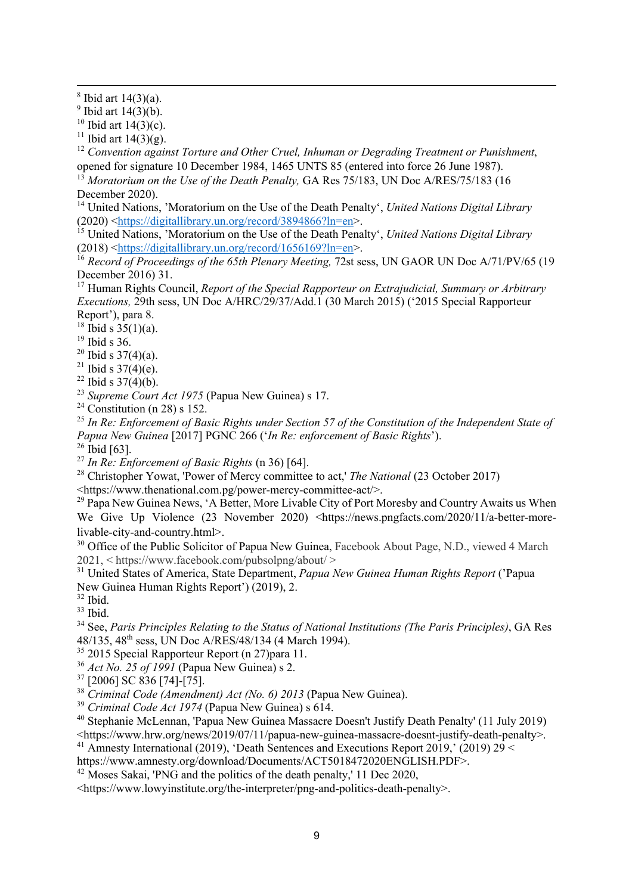<sup>12</sup> Convention against Torture and Other Cruel, Inhuman or Degrading Treatment or Punishment, opened for signature 10 December 1984, 1465 UNTS 85 (entered into force 26 June 1987).

<sup>13</sup> Moratorium on the Use of the Death Penalty, GA Res 75/183, UN Doc A/RES/75/183 (16 December 2020).

<sup>14</sup> United Nations, 'Moratorium on the Use of the Death Penalty', *United Nations Digital Library* (2020) <https://digitallibrary.un.org/record/3894866?ln=en>.

<sup>15</sup> United Nations, 'Moratorium on the Use of the Death Penalty', *United Nations Digital Library* (2018) <https://digitallibrary.un.org/record/1656169?ln=en>.

<sup>16</sup> Record of Proceedings of the 65th Plenary Meeting, 72st sess, UN GAOR UN Doc A/71/PV/65 (19 December 2016) 31.

<sup>17</sup> Human Rights Council, *Report of the Special Rapporteur on Extrajudicial, Summary or Arbitrary Executions,* 29th sess, UN Doc A/HRC/29/37/Add.1 (30 March 2015) ('2015 Special Rapporteur Report'), para 8.

<sup>18</sup> Ibid s  $35(1)(a)$ .

- <sup>19</sup> Ibid s 36.
- $20$  Ibid s 37(4)(a).
- <sup>21</sup> Ibid s  $37(4)(e)$ .
- $22$  Ibid s  $37(4)(b)$ .
- <sup>23</sup> *Supreme Court Act 1975* (Papua New Guinea) s 17.
- <sup>24</sup> Constitution (n 28) s 152.

<sup>25</sup> *In Re: Enforcement of Basic Rights under Section 57 of the Constitution of the Independent State of Papua New Guinea* [2017] PGNC 266 ('*In Re: enforcement of Basic Rights*').

 $26$  Ibid [63].

<sup>27</sup> *In Re: Enforcement of Basic Rights* (n 36) [64].

<sup>28</sup> Christopher Yowat, 'Power of Mercy committee to act,' *The National* (23 October 2017)

<https://www.thenational.com.pg/power-mercy-committee-act/>.

<sup>29</sup> Papa New Guinea News, 'A Better, More Livable City of Port Moresby and Country Awaits us When We Give Up Violence (23 November 2020) <https://news.pngfacts.com/2020/11/a-better-morelivable-city-and-country.html>.

<sup>30</sup> Office of the Public Solicitor of Papua New Guinea, Facebook About Page, N.D., viewed 4 March 2021, < https://www.facebook.com/pubsolpng/about/ >

<sup>31</sup> United States of America, State Department, *Papua New Guinea Human Rights Report* ('Papua New Guinea Human Rights Report') (2019), 2.

 $32$  Ibid.

<sup>33</sup> Ibid.

<sup>34</sup> See, *Paris Principles Relating to the Status of National Institutions (The Paris Principles)*, GA Res 48/135, 48th sess, UN Doc A/RES/48/134 (4 March 1994).

<sup>35</sup> 2015 Special Rapporteur Report (n 27) para 11.

<sup>36</sup> *Act No. 25 of 1991* (Papua New Guinea) s 2.

<sup>37</sup> [2006] SC 836 [74]-[75].

<sup>38</sup> *Criminal Code (Amendment) Act (No. 6) 2013* (Papua New Guinea).

<sup>39</sup> *Criminal Code Act 1974* (Papua New Guinea) s 614.

<sup>40</sup> Stephanie McLennan, 'Papua New Guinea Massacre Doesn't Justify Death Penalty' (11 July 2019) <https://www.hrw.org/news/2019/07/11/papua-new-guinea-massacre-doesnt-justify-death-penalty>.

<sup>41</sup> Amnesty International (2019), 'Death Sentences and Executions Report 2019,' (2019) 29 <

https://www.amnesty.org/download/Documents/ACT5018472020ENGLISH.PDF>.

 $42 \text{ Moses Sakai}$ , 'PNG and the politics of the death penalty,' 11 Dec 2020,

<https://www.lowyinstitute.org/the-interpreter/png-and-politics-death-penalty>.

 $8$  Ibid art  $14(3)(a)$ .

<sup>&</sup>lt;sup>9</sup> Ibid art  $14(3)(b)$ .

<sup>&</sup>lt;sup>10</sup> Ibid art  $14(3)(c)$ .

<sup>&</sup>lt;sup>11</sup> Ibid art  $14(3)(g)$ .